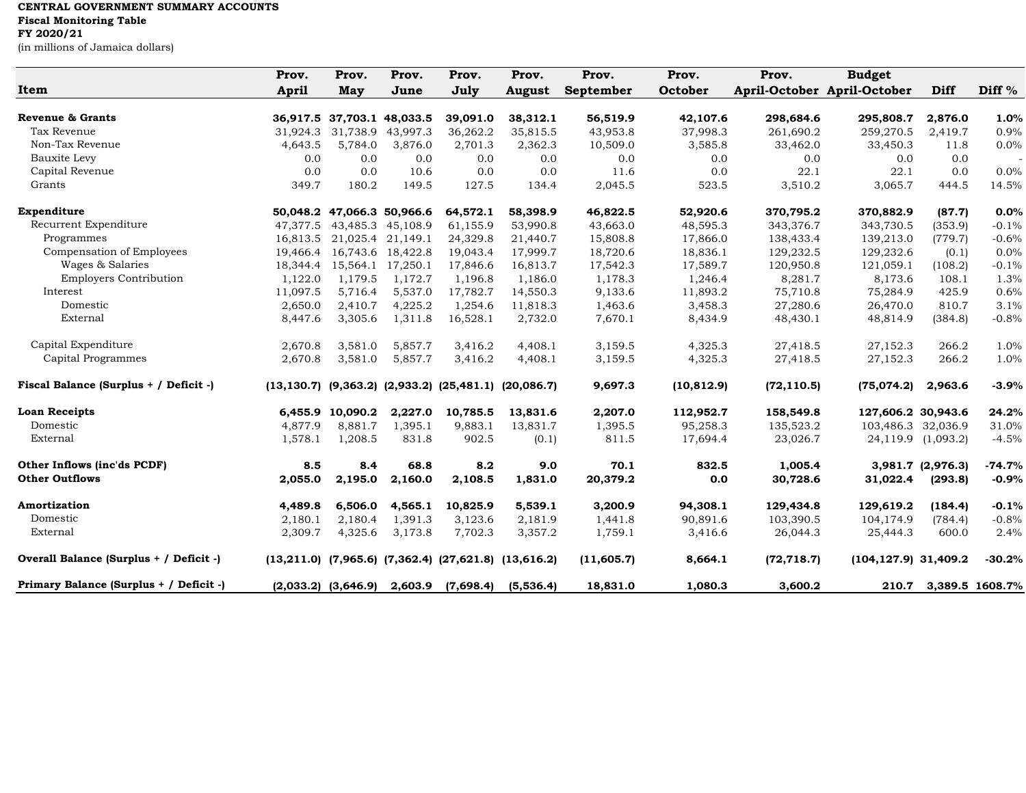## **CENTRAL GOVERNMENT SUMMARY ACCOUNTS**

## **Fiscal Monitoring Table**

**FY 2020/21**

(in millions of Jamaica dollars)

| Item                                    | Prov.<br><b>April</b> | Prov.<br>May               | Prov.<br>June     | Prov.<br>July | Prov.<br><b>August</b>                                              | Prov.<br>September | Prov.<br>October | Prov.<br>April-October April-October | <b>Budget</b>           | Diff               | Diff $%$        |
|-----------------------------------------|-----------------------|----------------------------|-------------------|---------------|---------------------------------------------------------------------|--------------------|------------------|--------------------------------------|-------------------------|--------------------|-----------------|
| <b>Revenue &amp; Grants</b>             |                       | 36,917.5 37,703.1 48,033.5 |                   | 39,091.0      | 38,312.1                                                            | 56,519.9           | 42,107.6         | 298,684.6                            | 295,808.7               | 2,876.0            | 1.0%            |
| Tax Revenue                             | 31,924.3              | 31,738.9                   | 43,997.3          | 36,262.2      | 35,815.5                                                            | 43,953.8           | 37,998.3         | 261,690.2                            | 259,270.5               | 2,419.7            | 0.9%            |
| Non-Tax Revenue                         | 4,643.5               | 5,784.0                    | 3,876.0           | 2,701.3       | 2,362.3                                                             | 10,509.0           | 3,585.8          | 33,462.0                             | 33,450.3                | 11.8               | 0.0%            |
| Bauxite Levy                            | 0.0                   | 0.0                        | 0.0               | 0.0           | 0.0                                                                 | 0.0                | 0.0              | 0.0                                  | 0.0                     | 0.0                |                 |
| Capital Revenue                         | 0.0                   | 0.0                        | 10.6              | 0.0           | 0.0                                                                 | 11.6               | 0.0              | 22.1                                 | 22.1                    | 0.0                | 0.0%            |
| Grants                                  | 349.7                 | 180.2                      | 149.5             | 127.5         | 134.4                                                               | 2,045.5            | 523.5            | 3,510.2                              | 3,065.7                 | 444.5              | 14.5%           |
| Expenditure                             |                       | 50,048.2 47,066.3 50,966.6 |                   | 64,572.1      | 58,398.9                                                            | 46,822.5           | 52,920.6         | 370,795.2                            | 370,882.9               | (87.7)             | 0.0%            |
| Recurrent Expenditure                   | 47,377.5              |                            | 43,485.3 45,108.9 | 61,155.9      | 53,990.8                                                            | 43,663.0           | 48,595.3         | 343,376.7                            | 343,730.5               | (353.9)            | $-0.1%$         |
| Programmes                              | 16,813.5              |                            | 21,025.4 21,149.1 | 24,329.8      | 21,440.7                                                            | 15,808.8           | 17,866.0         | 138,433.4                            | 139,213.0               | (779.7)            | $-0.6%$         |
| Compensation of Employees               | 19,466.4              |                            | 16,743.6 18,422.8 | 19,043.4      | 17,999.7                                                            | 18,720.6           | 18,836.1         | 129,232.5                            | 129,232.6               | (0.1)              | 0.0%            |
| Wages & Salaries                        | 18,344.4              |                            | 15,564.1 17,250.1 | 17,846.6      | 16,813.7                                                            | 17,542.3           | 17,589.7         | 120,950.8                            | 121,059.1               | (108.2)            | $-0.1%$         |
| <b>Employers Contribution</b>           | 1,122.0               | 1,179.5                    | 1,172.7           | 1,196.8       | 1,186.0                                                             | 1,178.3            | 1,246.4          | 8,281.7                              | 8,173.6                 | 108.1              | 1.3%            |
| Interest                                | 11,097.5              | 5,716.4                    | 5,537.0           | 17,782.7      | 14,550.3                                                            | 9,133.6            | 11,893.2         | 75,710.8                             | 75,284.9                | 425.9              | 0.6%            |
| Domestic                                | 2,650.0               | 2,410.7                    | 4,225.2           | 1,254.6       | 11,818.3                                                            | 1,463.6            | 3,458.3          | 27,280.6                             | 26,470.0                | 810.7              | 3.1%            |
| External                                | 8,447.6               | 3,305.6                    | 1,311.8           | 16,528.1      | 2,732.0                                                             | 7,670.1            | 8,434.9          | 48,430.1                             | 48,814.9                | (384.8)            | $-0.8%$         |
| Capital Expenditure                     | 2,670.8               | 3,581.0                    | 5,857.7           | 3,416.2       | 4,408.1                                                             | 3,159.5            | 4,325.3          | 27,418.5                             | 27,152.3                | 266.2              | 1.0%            |
| Capital Programmes                      | 2,670.8               | 3,581.0                    | 5,857.7           | 3,416.2       | 4,408.1                                                             | 3,159.5            | 4,325.3          | 27,418.5                             | 27,152.3                | 266.2              | 1.0%            |
| Fiscal Balance (Surplus + / Deficit -)  |                       |                            |                   |               | $(13, 130.7)$ $(9, 363.2)$ $(2, 933.2)$ $(25, 481.1)$ $(20, 086.7)$ | 9,697.3            | (10, 812.9)      | (72, 110.5)                          | (75,074.2)              | 2,963.6            | $-3.9%$         |
| <b>Loan Receipts</b>                    |                       | 6,455.9 10,090.2           | 2,227.0           | 10,785.5      | 13,831.6                                                            | 2,207.0            | 112,952.7        | 158,549.8                            | 127,606.2 30,943.6      |                    | 24.2%           |
| Domestic                                | 4,877.9               | 8,881.7                    | 1,395.1           | 9,883.1       | 13,831.7                                                            | 1,395.5            | 95,258.3         | 135,523.2                            | 103,486.3 32,036.9      |                    | 31.0%           |
| External                                | 1,578.1               | 1,208.5                    | 831.8             | 902.5         | (0.1)                                                               | 811.5              | 17,694.4         | 23,026.7                             |                         | 24,119.9 (1,093.2) | $-4.5%$         |
| Other Inflows (inc'ds PCDF)             | 8.5                   | 8.4                        | 68.8              | 8.2           | 9.0                                                                 | 70.1               | 832.5            | 1,005.4                              |                         | 3,981.7 (2,976.3)  | $-74.7%$        |
| <b>Other Outflows</b>                   | 2,055.0               | 2,195.0                    | 2,160.0           | 2,108.5       | 1,831.0                                                             | 20,379.2           | 0.0              | 30,728.6                             | 31,022.4                | (293.8)            | $-0.9%$         |
| Amortization                            | 4,489.8               | 6,506.0                    | 4,565.1           | 10,825.9      | 5,539.1                                                             | 3,200.9            | 94,308.1         | 129,434.8                            | 129,619.2               | (184.4)            | $-0.1%$         |
| Domestic                                | 2,180.1               | 2,180.4                    | 1,391.3           | 3,123.6       | 2,181.9                                                             | 1,441.8            | 90,891.6         | 103,390.5                            | 104,174.9               | (784.4)            | $-0.8%$         |
| External                                | 2,309.7               | 4,325.6                    | 3,173.8           | 7,702.3       | 3,357.2                                                             | 1,759.1            | 3,416.6          | 26,044.3                             | 25,444.3                | 600.0              | 2.4%            |
| Overall Balance (Surplus + / Deficit -) |                       |                            |                   |               | $(13,211.0)$ $(7,965.6)$ $(7,362.4)$ $(27,621.8)$ $(13,616.2)$      | (11,605.7)         | 8,664.1          | (72, 718.7)                          | $(104, 127.9)$ 31,409.2 |                    | $-30.2%$        |
| Primary Balance (Surplus + / Deficit -) |                       | $(2,033.2)$ $(3,646.9)$    | 2,603.9           | (7,698.4)     | (5,536.4)                                                           | 18,831.0           | 1,080.3          | 3,600.2                              | 210.7                   |                    | 3,389.5 1608.7% |